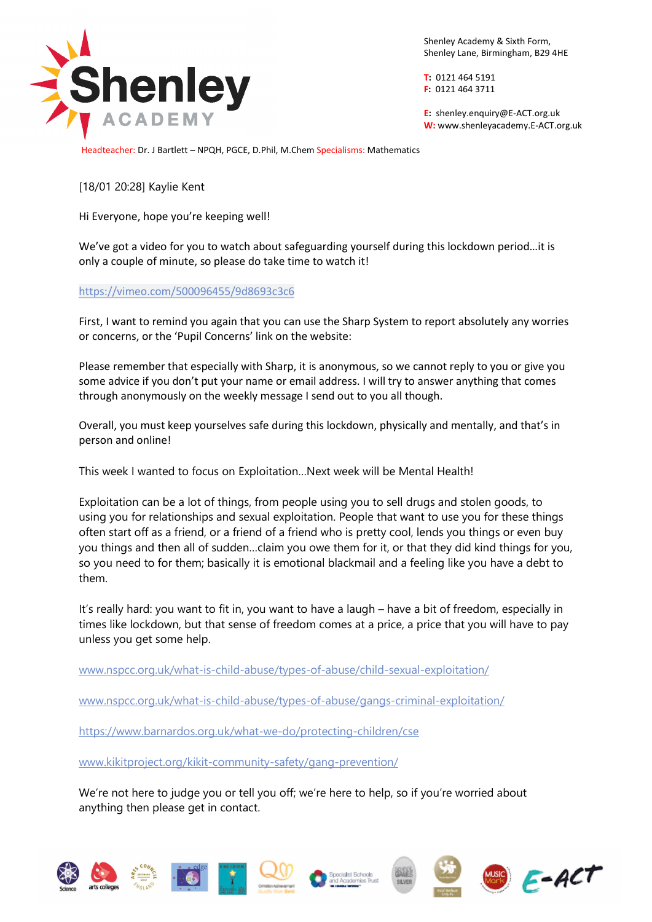

Shenley Academy & Sixth Form, Shenley Lane, Birmingham, B29 4HE

**T:** 0121 464 5191 **F:** 0121 464 3711

**E:** shenle[y.enquiry@E-ACT.org.uk](mailto:enquiry@E-ACT.org.uk) **W:** www.shenleyacademy.E-ACT.org.uk

Headteacher: Dr. J Bartlett – NPQH, PGCE, D.Phil, M.Chem Specialisms: Mathematics

[18/01 20:28] Kaylie Kent

Hi Everyone, hope you're keeping well!

We've got a video for you to watch about safeguarding yourself during this lockdown period…it is only a couple of minute, so please do take time to watch it!

## <https://vimeo.com/500096455/9d8693c3c6>

First, I want to remind you again that you can use the Sharp System to report absolutely any worries or concerns, or the 'Pupil Concerns' link on the website:

Please remember that especially with Sharp, it is anonymous, so we cannot reply to you or give you some advice if you don't put your name or email address. I will try to answer anything that comes through anonymously on the weekly message I send out to you all though.

Overall, you must keep yourselves safe during this lockdown, physically and mentally, and that's in person and online!

This week I wanted to focus on Exploitation…Next week will be Mental Health!

Exploitation can be a lot of things, from people using you to sell drugs and stolen goods, to using you for relationships and sexual exploitation. People that want to use you for these things often start off as a friend, or a friend of a friend who is pretty cool, lends you things or even buy you things and then all of sudden…claim you owe them for it, or that they did kind things for you, so you need to for them; basically it is emotional blackmail and a feeling like you have a debt to them.

It's really hard: you want to fit in, you want to have a laugh – have a bit of freedom, especially in times like lockdown, but that sense of freedom comes at a price, a price that you will have to pay unless you get some help.

[www.nspcc.org.uk/what-is-child-abuse/types-of-abuse/child-sexual-exploitation/](http://www.nspcc.org.uk/what-is-child-abuse/types-of-abuse/child-sexual-exploitation/)

[www.nspcc.org.uk/what-is-child-abuse/types-of-abuse/gangs-criminal-exploitation/](http://www.nspcc.org.uk/what-is-child-abuse/types-of-abuse/gangs-criminal-exploitation/)

<https://www.barnardos.org.uk/what-we-do/protecting-children/cse>

[www.kikitproject.org/kikit-community-safety/gang-prevention/](http://www.kikitproject.org/kikit-community-safety/gang-prevention/)

We're not here to judge you or tell you off; we're here to help, so if you're worried about anything then please get in contact.